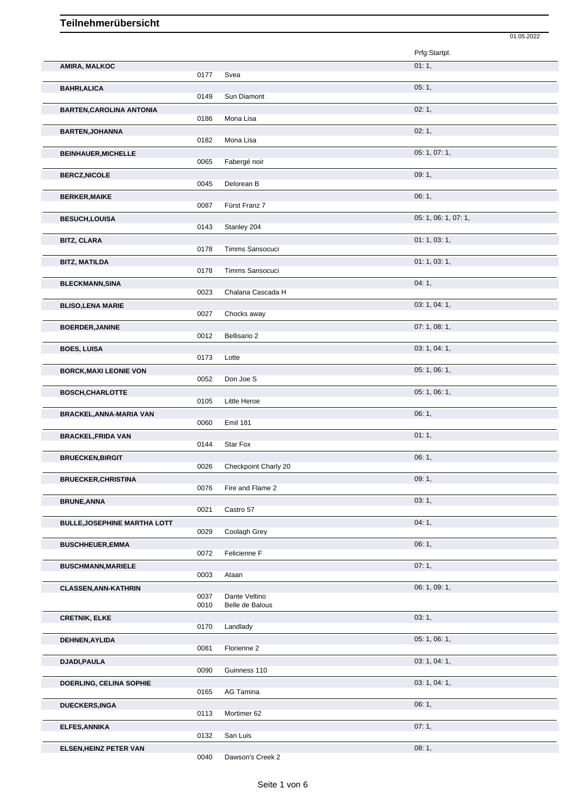|                                     |              |                                  | Prfg:Startpl.        |
|-------------------------------------|--------------|----------------------------------|----------------------|
| AMIRA, MALKOC                       |              |                                  | 01:1,                |
| <b>BAHRI, ALICA</b>                 | 0177         | Svea                             | 05:1,                |
|                                     | 0149         | Sun Diamont                      |                      |
| <b>BARTEN, CAROLINA ANTONIA</b>     | 0186         | Mona Lisa                        | 02:1,                |
| <b>BARTEN, JOHANNA</b>              |              |                                  | 02:1,                |
|                                     | 0182         | Mona Lisa                        | 05: 1, 07: 1,        |
| <b>BEINHAUER, MICHELLE</b>          | 0065         | Fabergé noir                     |                      |
| <b>BERCZ, NICOLE</b>                | 0045         | Delorean B                       | 09:1,                |
| <b>BERKER, MAIKE</b>                |              |                                  | 06:1,                |
|                                     | 0087         | Fürst Franz 7                    |                      |
| <b>BESUCH,LOUISA</b>                | 0143         | Stanley 204                      | 05: 1, 06: 1, 07: 1, |
| <b>BITZ, CLARA</b>                  |              |                                  | 01: 1, 03: 1,        |
| <b>BITZ, MATILDA</b>                | 0178         | Timms Sansocuci                  | 01: 1, 03: 1,        |
|                                     | 0178         | Timms Sansocuci                  |                      |
| <b>BLECKMANN, SINA</b>              | 0023         | Chalana Cascada H                | 04:1,                |
| <b>BLISO, LENA MARIE</b>            |              |                                  | 03: 1, 04: 1,        |
|                                     | 0027         | Chocks away                      |                      |
| <b>BOERDER, JANINE</b>              | 0012         | Bellisario 2                     | 07:1,08:1,           |
| <b>BOES, LUISA</b>                  | 0173         | Lotte                            | 03: 1, 04: 1,        |
| <b>BORCK, MAXI LEONIE VON</b>       |              |                                  | 05: 1, 06: 1,        |
|                                     | 0052         | Don Joe S                        |                      |
| <b>BOSCH, CHARLOTTE</b>             | 0105         | Little Heroe                     | 05: 1, 06: 1,        |
| <b>BRACKEL, ANNA-MARIA VAN</b>      |              |                                  | 06:1,                |
| <b>BRACKEL, FRIDA VAN</b>           | 0060         | <b>Emil 181</b>                  | 01:1,                |
|                                     | 0144         | Star Fox                         |                      |
| <b>BRUECKEN, BIRGIT</b>             | 0026         | Checkpoint Charly 20             | 06:1,                |
| <b>BRUECKER, CHRISTINA</b>          |              |                                  | 09:1,                |
|                                     | 0076         | Fire and Flame 2                 | 03:1,                |
| <b>BRUNE, ANNA</b>                  | 0021         | Castro 57                        |                      |
| <b>BULLE, JOSEPHINE MARTHA LOTT</b> | 0029         | Coolagh Grey                     | 04:1,                |
| <b>BUSCHHEUER,EMMA</b>              |              |                                  | 06: 1,               |
|                                     | 0072         | Felicienne F                     |                      |
| <b>BUSCHMANN, MARIELE</b>           | 0003         | Ataan                            | 07:1,                |
| <b>CLASSEN, ANN-KATHRIN</b>         |              |                                  | 06: 1, 09: 1,        |
|                                     | 0037<br>0010 | Dante Veltino<br>Belle de Balous |                      |
| <b>CRETNIK, ELKE</b>                | 0170         | Landlady                         | 03:1,                |
| DEHNEN, AYLIDA                      |              |                                  | 05: 1, 06: 1,        |
|                                     | 0081         | Florienne 2                      |                      |
| DJADI, PAULA                        | 0090         | Guinness 110                     | 03: 1, 04: 1,        |
| DOERLING, CELINA SOPHIE             |              |                                  | 03: 1, 04: 1,        |
|                                     | 0165         | AG Tamina                        | 06:1,                |
| <b>DUECKERS,INGA</b>                | 0113         | Mortimer 62                      |                      |
| <b>ELFES, ANNIKA</b>                |              |                                  | 07:1,                |
|                                     |              |                                  |                      |
| <b>ELSEN, HEINZ PETER VAN</b>       | 0132         | San Luis                         | 08:1,                |

01.05.2022

Dawson's Creek 2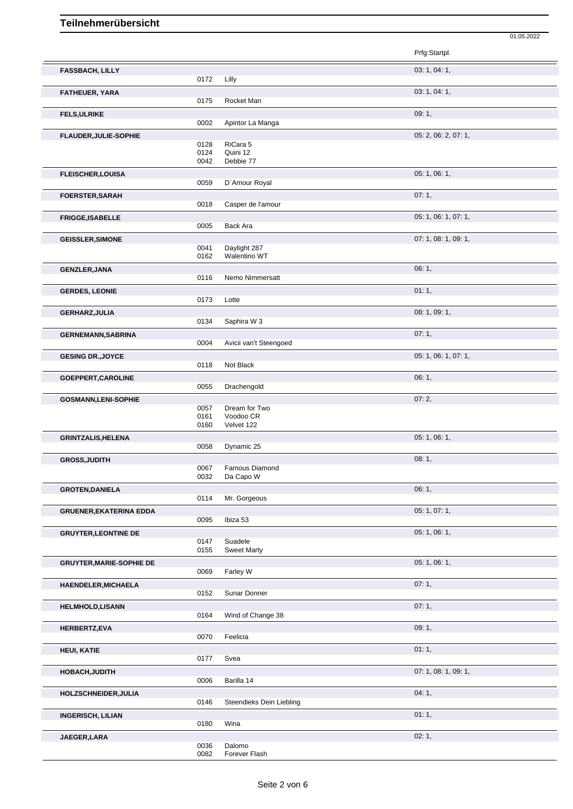|                                 |              |                               | 01.05.2022           |
|---------------------------------|--------------|-------------------------------|----------------------|
|                                 |              |                               | Prfg:Startpl.        |
| <b>FASSBACH, LILLY</b>          |              |                               | 03: 1, 04: 1,        |
|                                 | 0172         | Lilly                         |                      |
| FATHEUER, YARA                  |              |                               | 03: 1, 04: 1,        |
|                                 | 0175         | Rocket Man                    |                      |
| <b>FELS, ULRIKE</b>             |              |                               | 09:1,                |
|                                 | 0002         | Apintor La Manga              |                      |
|                                 |              |                               |                      |
| FLAUDER, JULIE-SOPHIE           |              |                               | 05: 2, 06: 2, 07: 1, |
|                                 | 0128<br>0124 | RiCara 5<br>Quini 12          |                      |
|                                 | 0042         | Debbie 77                     |                      |
|                                 |              |                               |                      |
| <b>FLEISCHER,LOUISA</b>         | 0059         | D'Amour Royal                 | 05: 1, 06: 1,        |
|                                 |              |                               |                      |
| <b>FOERSTER, SARAH</b>          |              |                               | 07:1,                |
|                                 | 0018         | Casper de l'amour             |                      |
| FRIGGE, ISABELLE                |              |                               | 05: 1, 06: 1, 07: 1, |
|                                 | 0005         | Back Ara                      |                      |
| <b>GEISSLER, SIMONE</b>         |              |                               | 07: 1, 08: 1, 09: 1, |
|                                 | 0041         | Daylight 287                  |                      |
|                                 | 0162         | Walentino WT                  |                      |
| <b>GENZLER, JANA</b>            |              |                               | 06:1,                |
|                                 | 0116         | Nemo Nimmersatt               |                      |
|                                 |              |                               |                      |
| <b>GERDES, LEONIE</b>           |              |                               | 01:1,                |
|                                 | 0173         | Lotte                         |                      |
| GERHARZ, JULIA                  |              |                               | 08: 1, 09: 1,        |
|                                 | 0134         | Saphira W 3                   |                      |
| <b>GERNEMANN, SABRINA</b>       |              |                               | 07:1,                |
|                                 | 0004         | Avicii van't Steengoed        |                      |
| <b>GESING DR., JOYCE</b>        |              |                               | 05: 1, 06: 1, 07: 1, |
|                                 | 0118         | Not Black                     |                      |
|                                 |              |                               |                      |
| GOEPPERT, CAROLINE              |              |                               | 06:1,                |
|                                 | 0055         | Drachengold                   |                      |
| <b>GOSMANN,LENI-SOPHIE</b>      |              |                               | 07:2,                |
|                                 | 0057         | Dream for Two                 |                      |
|                                 | 0161         | Voodoo CR                     |                      |
|                                 | 0160         | Velvet 122                    |                      |
| <b>GRINTZALIS, HELENA</b>       |              |                               | 05: 1, 06: 1,        |
|                                 | 0058         | Dynamic 25                    |                      |
| <b>GROSS, JUDITH</b>            |              |                               | 08:1,                |
|                                 | 0067         | Famous Diamond                |                      |
|                                 | 0032         | Da Capo W                     |                      |
| <b>GROTEN, DANIELA</b>          |              |                               | 06:1,                |
|                                 | 0114         | Mr. Gorgeous                  |                      |
| <b>GRUENER, EKATERINA EDDA</b>  |              |                               | 05: 1, 07: 1,        |
|                                 | 0095         | Ibiza 53                      |                      |
|                                 |              |                               |                      |
| <b>GRUYTER, LEONTINE DE</b>     |              |                               | 05: 1, 06: 1,        |
|                                 | 0147<br>0155 | Suadele<br><b>Sweet Marty</b> |                      |
|                                 |              |                               |                      |
| <b>GRUYTER, MARIE-SOPHIE DE</b> |              |                               | 05: 1, 06: 1,        |
|                                 | 0069         | Farley W                      |                      |
| HAENDELER, MICHAELA             |              |                               | 07:1,                |
|                                 | 0152         | Sunar Donner                  |                      |
| <b>HELMHOLD,LISANN</b>          |              |                               | 07:1,                |
|                                 | 0164         | Wind of Change 38             |                      |
|                                 |              |                               |                      |
| HERBERTZ, EVA                   |              |                               | 09:1,                |
|                                 | 0070         | Feelicia                      |                      |
| <b>HEUI, KATIE</b>              |              |                               | 01:1,                |
|                                 | 0177         | Svea                          |                      |

Barilla 14 **HOLZSCHNEIDER,JULIA** 04: 1, Steendieks Dein Liebling

**INGERISCH, LILIAN** 01: 1, Wina

**JAEGER,LARA** 02: 1, 0036 Dalomo 0082 Forever Flash

**HOBACH,JUDITH** 0006 Barilla 14 0006 Barilla 14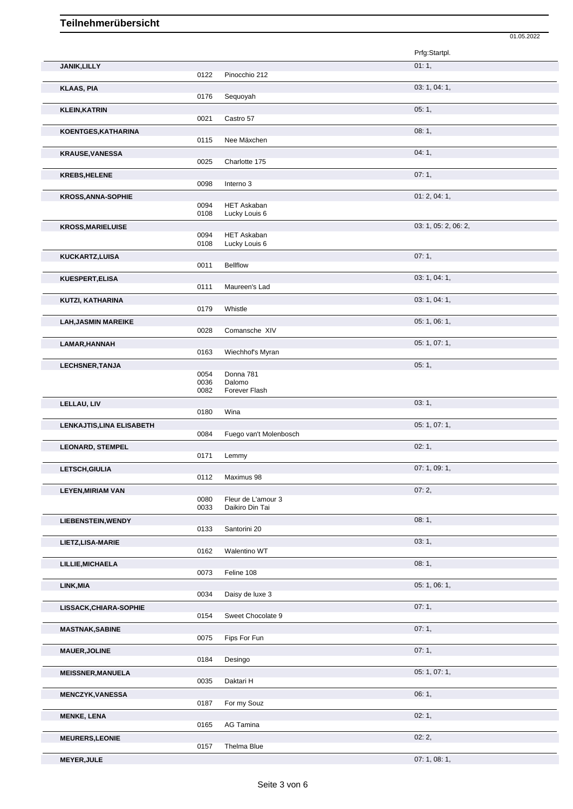|                            |              |                                       | 01.05.2022           |
|----------------------------|--------------|---------------------------------------|----------------------|
|                            |              |                                       | Prfg:Startpl.        |
| JANIK, LILLY               |              |                                       | 01:1,                |
|                            | 0122         | Pinocchio 212                         |                      |
| <b>KLAAS, PIA</b>          |              |                                       | 03: 1, 04: 1,        |
|                            | 0176         | Sequoyah                              |                      |
| <b>KLEIN, KATRIN</b>       |              |                                       | 05:1,                |
|                            | 0021         | Castro 57                             |                      |
| KOENTGES, KATHARINA        | 0115         | Nee Mäxchen                           | 08:1,                |
|                            |              |                                       |                      |
| <b>KRAUSE, VANESSA</b>     | 0025         | Charlotte 175                         | 04:1,                |
| <b>KREBS, HELENE</b>       |              |                                       | 07:1,                |
|                            | 0098         | Interno 3                             |                      |
| <b>KROSS, ANNA-SOPHIE</b>  |              |                                       | 01: 2, 04: 1,        |
|                            | 0094<br>0108 | <b>HET Askaban</b><br>Lucky Louis 6   |                      |
|                            |              |                                       |                      |
| <b>KROSS, MARIELUISE</b>   | 0094         | <b>HET Askaban</b>                    | 03: 1, 05: 2, 06: 2, |
|                            | 0108         | Lucky Louis 6                         |                      |
| KUCKARTZ,LUISA             |              |                                       | 07:1,                |
|                            | 0011         | <b>Bellflow</b>                       |                      |
| KUESPERT, ELISA            | 0111         | Maureen's Lad                         | 03: 1, 04: 1,        |
|                            |              |                                       |                      |
| KUTZI, KATHARINA           | 0179         | Whistle                               | 03: 1, 04: 1,        |
| <b>LAH, JASMIN MAREIKE</b> |              |                                       | 05: 1, 06: 1,        |
|                            | 0028         | Comansche XIV                         |                      |
| LAMAR, HANNAH              |              |                                       | 05: 1, 07: 1,        |
|                            | 0163         | Wiechhof's Myran                      |                      |
| <b>LECHSNER, TANJA</b>     |              |                                       | 05:1,                |
|                            | 0054<br>0036 | Donna 781<br>Dalomo                   |                      |
|                            | 0082         | Forever Flash                         |                      |
| LELLAU, LIV                |              |                                       | 03:1,                |
|                            | 0180         | Wina                                  |                      |
| LENKAJTIS, LINA ELISABETH  | 0084         | Fuego van't Molenbosch                | 05: 1, 07: 1,        |
| <b>LEONARD, STEMPEL</b>    |              |                                       | 02:1,                |
|                            | 0171         | Lemmy                                 |                      |
| LETSCH, GIULIA             |              |                                       | 07: 1, 09: 1,        |
|                            | 0112         | Maximus 98                            |                      |
| <b>LEYEN, MIRIAM VAN</b>   |              |                                       | 07:2,                |
|                            | 0080<br>0033 | Fleur de L'amour 3<br>Daikiro Din Tai |                      |
| <b>LIEBENSTEIN, WENDY</b>  |              |                                       | 08:1,                |
|                            | 0133         | Santorini 20                          |                      |
| LIETZ, LISA-MARIE          |              |                                       | 03:1,                |
|                            | 0162         | Walentino WT                          |                      |
| LILLIE, MICHAELA           |              |                                       | 08:1,                |
|                            | 0073         | Feline 108                            |                      |
| LINK, MIA                  | 0034         | Daisy de luxe 3                       | 05: 1, 06: 1,        |
| LISSACK, CHIARA-SOPHIE     |              |                                       | 07:1,                |
|                            | 0154         | Sweet Chocolate 9                     |                      |
| <b>MASTNAK, SABINE</b>     |              |                                       | 07:1,                |
|                            | 0075         | Fips For Fun                          |                      |
| <b>MAUER, JOLINE</b>       |              |                                       | 07:1,                |
|                            | 0184         | Desingo                               |                      |
| <b>MEISSNER, MANUELA</b>   | 0035         | Daktari H                             | 05: 1, 07: 1,        |
|                            |              |                                       | 06:1,                |
| <b>MENCZYK, VANESSA</b>    | 0187         | For my Souz                           |                      |
| <b>MENKE, LENA</b>         |              |                                       | 02:1,                |
|                            | 0165         | AG Tamina                             |                      |
| <b>MEURERS, LEONIE</b>     |              |                                       | 02:2,                |
|                            | 0157         | Thelma Blue                           |                      |

**MEYER,JULE** 07: 1, 08: 1,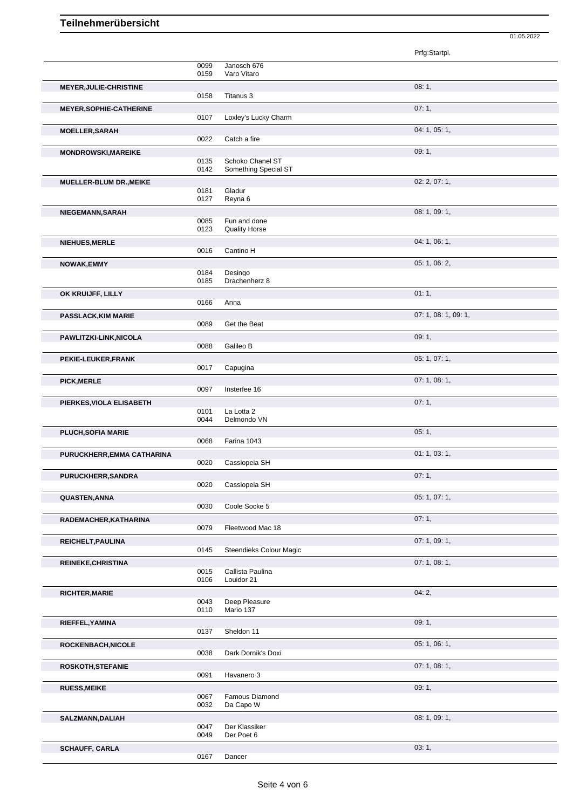|                                |              |                             | Prfg:Startpl.        |
|--------------------------------|--------------|-----------------------------|----------------------|
|                                | 0099         | Janosch 676                 |                      |
|                                | 0159         | Varo Vitaro                 |                      |
| MEYER, JULIE-CHRISTINE         | 0158         | Titanus 3                   | 08:1,                |
| <b>MEYER, SOPHIE-CATHERINE</b> |              |                             | 07:1,                |
|                                | 0107         | Loxley's Lucky Charm        |                      |
| <b>MOELLER, SARAH</b>          |              |                             | 04: 1, 05: 1,        |
|                                | 0022         | Catch a fire                |                      |
| <b>MONDROWSKI, MAREIKE</b>     | 0135         | Schoko Chanel ST            | 09:1,                |
|                                | 0142         | Something Special ST        |                      |
| MUELLER-BLUM DR., MEIKE        |              |                             | 02: 2, 07: 1,        |
|                                | 0181<br>0127 | Gladur<br>Reyna 6           |                      |
| NIEGEMANN, SARAH               |              |                             | 08: 1, 09: 1,        |
|                                | 0085         | Fun and done                |                      |
|                                | 0123         | <b>Quality Horse</b>        |                      |
| <b>NIEHUES, MERLE</b>          | 0016         | Cantino H                   | 04: 1, 06: 1,        |
| <b>NOWAK,EMMY</b>              |              |                             | 05: 1, 06: 2,        |
|                                | 0184         | Desingo                     |                      |
|                                | 0185         | Drachenherz 8               |                      |
| OK KRUIJFF, LILLY              | 0166         | Anna                        | 01:1,                |
| <b>PASSLACK, KIM MARIE</b>     |              |                             | 07: 1, 08: 1, 09: 1, |
|                                | 0089         | Get the Beat                |                      |
| PAWLITZKI-LINK, NICOLA         |              |                             | 09:1,                |
|                                | 0088         | Galileo B                   |                      |
| PEKIE-LEUKER, FRANK            | 0017         | Capugina                    | 05: 1, 07: 1,        |
| <b>PICK, MERLE</b>             |              |                             | 07: 1, 08: 1,        |
|                                | 0097         | Insterfee 16                |                      |
| PIERKES, VIOLA ELISABETH       |              |                             | 07:1,                |
|                                |              |                             |                      |
|                                | 0101<br>0044 | La Lotta 2<br>Delmondo VN   |                      |
| PLUCH, SOFIA MARIE             |              |                             | 05:1,                |
|                                | 0068         | Farina 1043                 |                      |
| PURUCKHERR, EMMA CATHARINA     |              |                             | 01: 1, 03: 1,        |
|                                | 0020         | Cassiopeia SH               |                      |
| PURUCKHERR, SANDRA             | 0020         | Cassiopeia SH               | 07:1,                |
| QUASTEN, ANNA                  |              |                             | 05: 1, 07: 1,        |
|                                | 0030         | Coole Socke 5               |                      |
| RADEMACHER, KATHARINA          |              |                             | 07:1,                |
|                                | 0079         | Fleetwood Mac 18            |                      |
| REICHELT, PAULINA              | 0145         | Steendieks Colour Magic     | 07:1,09:1,           |
| <b>REINEKE, CHRISTINA</b>      |              |                             | 07: 1, 08: 1,        |
|                                | 0015         | Callista Paulina            |                      |
|                                | 0106         | Louidor 21                  |                      |
| <b>RICHTER, MARIE</b>          | 0043         | Deep Pleasure               | 04:2,                |
|                                | 0110         | Mario 137                   |                      |
| RIEFFEL, YAMINA                |              |                             | 09:1,                |
|                                | 0137         | Sheldon 11                  |                      |
| ROCKENBACH, NICOLE             | 0038         | Dark Dornik's Doxi          | 05: 1, 06: 1,        |
| ROSKOTH, STEFANIE              |              |                             | 07: 1, 08: 1,        |
|                                | 0091         | Havanero 3                  |                      |
| <b>RUESS, MEIKE</b>            |              |                             | 09:1,                |
|                                | 0067<br>0032 | Famous Diamond<br>Da Capo W |                      |
| SALZMANN, DALIAH               |              |                             | 08: 1, 09: 1,        |
|                                | 0047         | Der Klassiker               |                      |
| <b>SCHAUFF, CARLA</b>          | 0049         | Der Poet 6                  | 03:1,                |

01.05.2022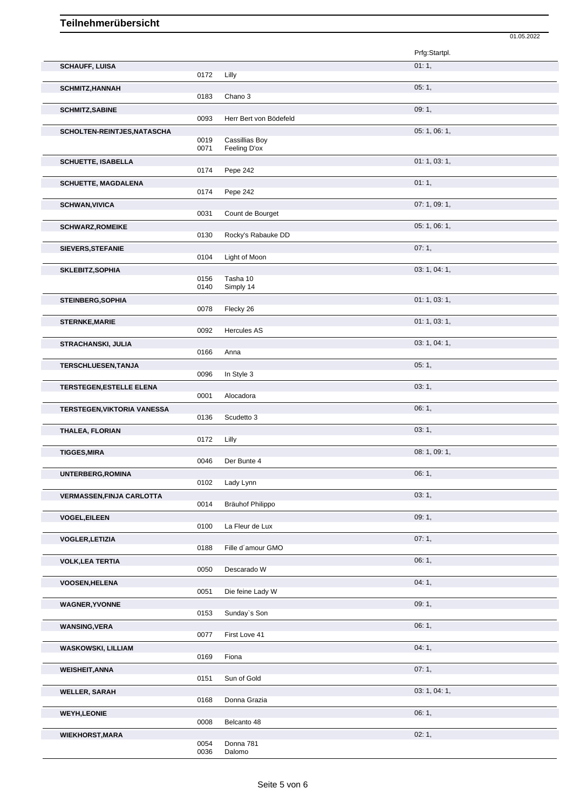|                                  |              |                                       | 01.05.2022    |  |
|----------------------------------|--------------|---------------------------------------|---------------|--|
|                                  |              |                                       | Prfg:Startpl. |  |
| <b>SCHAUFF, LUISA</b>            |              |                                       | 01:1,         |  |
|                                  | 0172         | Lilly                                 |               |  |
| <b>SCHMITZ, HANNAH</b>           |              |                                       | 05:1,         |  |
|                                  | 0183         | Chano 3                               |               |  |
| <b>SCHMITZ, SABINE</b>           |              |                                       | 09:1,         |  |
|                                  | 0093         | Herr Bert von Bödefeld                |               |  |
| SCHOLTEN-REINTJES, NATASCHA      | 0019<br>0071 | <b>Cassillias Boy</b><br>Feeling D'ox | 05: 1, 06: 1, |  |
| <b>SCHUETTE, ISABELLA</b>        | 0174         | Pepe 242                              | 01: 1, 03: 1, |  |
| <b>SCHUETTE, MAGDALENA</b>       | 0174         | Pepe 242                              | 01:1,         |  |
|                                  |              |                                       | 07: 1, 09: 1, |  |
| <b>SCHWAN, VIVICA</b>            | 0031         | Count de Bourget                      |               |  |
| <b>SCHWARZ, ROMEIKE</b>          |              |                                       | 05: 1, 06: 1, |  |
|                                  | 0130         | Rocky's Rabauke DD                    |               |  |
| SIEVERS, STEFANIE                |              |                                       | 07:1,         |  |
|                                  | 0104         | Light of Moon                         |               |  |
| SKLEBITZ, SOPHIA                 | 0156         | Tasha 10                              | 03: 1, 04: 1, |  |
|                                  | 0140         | Simply 14                             |               |  |
| <b>STEINBERG, SOPHIA</b>         |              |                                       | 01: 1, 03: 1, |  |
|                                  | 0078         | Flecky 26                             |               |  |
| <b>STERNKE, MARIE</b>            |              |                                       | 01: 1, 03: 1, |  |
|                                  | 0092         | <b>Hercules AS</b>                    |               |  |
| <b>STRACHANSKI, JULIA</b>        | 0166         | Anna                                  | 03: 1, 04: 1, |  |
|                                  |              |                                       | 05:1,         |  |
| <b>TERSCHLUESEN, TANJA</b>       | 0096         | In Style 3                            |               |  |
| <b>TERSTEGEN, ESTELLE ELENA</b>  |              |                                       | 03:1,         |  |
|                                  | 0001         | Alocadora                             |               |  |
| TERSTEGEN, VIKTORIA VANESSA      |              |                                       | 06: 1,        |  |
|                                  | 0136         | Scudetto 3                            |               |  |
| THALEA, FLORIAN                  |              |                                       | 03:1,         |  |
|                                  | 0172         | Lilly                                 |               |  |
| <b>TIGGES, MIRA</b>              | 0046         | Der Bunte 4                           | 08: 1, 09: 1, |  |
| UNTERBERG, ROMINA                |              |                                       | 06:1,         |  |
|                                  | 0102         | Lady Lynn                             |               |  |
| <b>VERMASSEN, FINJA CARLOTTA</b> |              |                                       | 03:1,         |  |
|                                  | 0014         | Bräuhof Philippo                      |               |  |
| <b>VOGEL, EILEEN</b>             |              |                                       | 09:1,         |  |
|                                  | 0100         | La Fleur de Lux                       |               |  |
| <b>VOGLER, LETIZIA</b>           | 0188         | Fille d'amour GMO                     | 07:1,         |  |
| <b>VOLK, LEA TERTIA</b>          |              |                                       | 06:1,         |  |
|                                  | 0050         | Descarado W                           |               |  |
| <b>VOOSEN, HELENA</b>            |              |                                       | 04:1,         |  |
|                                  | 0051         | Die feine Lady W                      |               |  |
| <b>WAGNER, YVONNE</b>            |              |                                       | 09:1,         |  |
|                                  | 0153         | Sunday's Son                          |               |  |
| <b>WANSING, VERA</b>             | 0077         | First Love 41                         | 06:1,         |  |
|                                  |              |                                       |               |  |
| <b>WASKOWSKI, LILLIAM</b>        | 0169         | Fiona                                 | 04:1,         |  |
| <b>WEISHEIT, ANNA</b>            |              |                                       | 07:1,         |  |
|                                  | 0151         | Sun of Gold                           |               |  |
| <b>WELLER, SARAH</b>             |              |                                       | 03: 1, 04: 1, |  |
|                                  | 0168         | Donna Grazia                          |               |  |
| <b>WEYH,LEONIE</b>               |              |                                       | 06:1,         |  |
|                                  | 0008         | Belcanto 48                           |               |  |
| <b>WIEKHORST, MARA</b>           | 0054         | Donna 781                             | 02:1,         |  |
|                                  | 0036         | Dalomo                                |               |  |